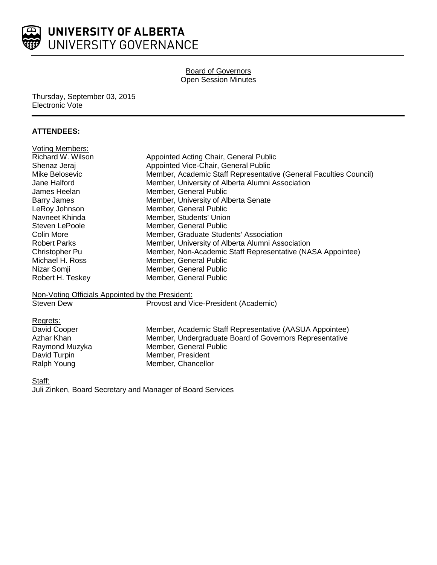

### Board of Governors Open Session Minutes

Thursday, September 03, 2015 Electronic Vote

## **ATTENDEES:**

| <b>Voting Members:</b>                           |                                                                   |
|--------------------------------------------------|-------------------------------------------------------------------|
| Richard W. Wilson                                | Appointed Acting Chair, General Public                            |
| Shenaz Jeraj                                     | Appointed Vice-Chair, General Public                              |
| Mike Belosevic                                   | Member, Academic Staff Representative (General Faculties Council) |
| Jane Halford                                     | Member, University of Alberta Alumni Association                  |
| James Heelan                                     | Member, General Public                                            |
| <b>Barry James</b>                               | Member, University of Alberta Senate                              |
| LeRoy Johnson                                    | Member, General Public                                            |
| Navneet Khinda                                   | Member, Students' Union                                           |
| Steven LePoole                                   | Member, General Public                                            |
| Colin More                                       | Member, Graduate Students' Association                            |
| <b>Robert Parks</b>                              | Member, University of Alberta Alumni Association                  |
| Christopher Pu                                   | Member, Non-Academic Staff Representative (NASA Appointee)        |
| Michael H. Ross                                  | Member, General Public                                            |
| Nizar Somji                                      | Member, General Public                                            |
| Robert H. Teskey                                 | Member, General Public                                            |
| Non-Voting Officials Appointed by the President: |                                                                   |
| <b>Steven Dew</b>                                | Provost and Vice-President (Academic)                             |

| Regrets:       |                                                         |
|----------------|---------------------------------------------------------|
| David Cooper   | Member, Academic Staff Representative (AASUA Appointee) |
| Azhar Khan     | Member, Undergraduate Board of Governors Representative |
| Raymond Muzyka | Member, General Public                                  |
| David Turpin   | Member, President                                       |
| Ralph Young    | Member, Chancellor                                      |

#### Staff:

Juli Zinken, Board Secretary and Manager of Board Services